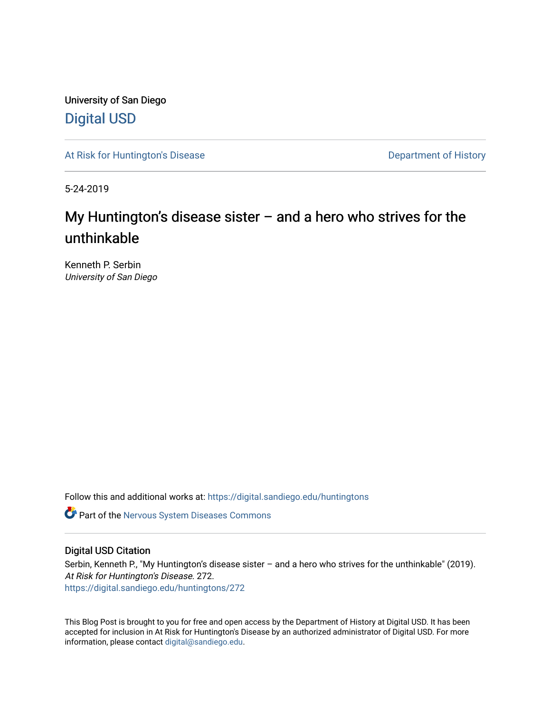University of San Diego [Digital USD](https://digital.sandiego.edu/)

[At Risk for Huntington's Disease](https://digital.sandiego.edu/huntingtons) **Department of History** Department of History

5-24-2019

# My Huntington's disease sister – and a hero who strives for the unthinkable

Kenneth P. Serbin University of San Diego

Follow this and additional works at: [https://digital.sandiego.edu/huntingtons](https://digital.sandiego.edu/huntingtons?utm_source=digital.sandiego.edu%2Fhuntingtons%2F272&utm_medium=PDF&utm_campaign=PDFCoverPages)

**C** Part of the [Nervous System Diseases Commons](http://network.bepress.com/hgg/discipline/928?utm_source=digital.sandiego.edu%2Fhuntingtons%2F272&utm_medium=PDF&utm_campaign=PDFCoverPages)

## Digital USD Citation

Serbin, Kenneth P., "My Huntington's disease sister - and a hero who strives for the unthinkable" (2019). At Risk for Huntington's Disease. 272. [https://digital.sandiego.edu/huntingtons/272](https://digital.sandiego.edu/huntingtons/272?utm_source=digital.sandiego.edu%2Fhuntingtons%2F272&utm_medium=PDF&utm_campaign=PDFCoverPages)

This Blog Post is brought to you for free and open access by the Department of History at Digital USD. It has been accepted for inclusion in At Risk for Huntington's Disease by an authorized administrator of Digital USD. For more information, please contact [digital@sandiego.edu.](mailto:digital@sandiego.edu)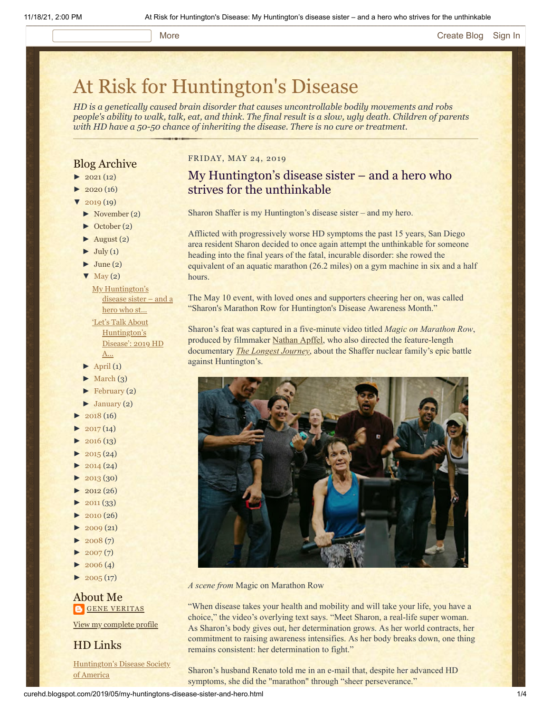#### More **[Create Blog](https://draft.blogger.com/home#create) [Sign In](https://draft.blogger.com/)**

# [At Risk for Huntington's Disease](http://curehd.blogspot.com/)

*HD is a genetically caused brain disorder that causes uncontrollable bodily movements and robs people's ability to walk, talk, eat, and think. The final result is a slow, ugly death. Children of parents with HD have a 50-50 chance of inheriting the disease. There is no cure or treatment.*

### Blog Archive

- $\blacktriangleright$  [2021](http://curehd.blogspot.com/2021/) (12)
- $2020(16)$  $2020(16)$
- $2019(19)$  $2019(19)$
- [►](javascript:void(0)) [November](http://curehd.blogspot.com/2019/11/) (2)
- [►](javascript:void(0)) [October](http://curehd.blogspot.com/2019/10/) (2)
- $\blacktriangleright$  [August](http://curehd.blogspot.com/2019/08/) (2)
- $\blacktriangleright$  [July](http://curehd.blogspot.com/2019/07/) (1)
- $\blacktriangleright$  [June](http://curehd.blogspot.com/2019/06/) (2)
- $\nabla$  [May](http://curehd.blogspot.com/2019/05/) (2)

### My [Huntington's](http://curehd.blogspot.com/2019/05/my-huntingtons-disease-sister-and-hero.html)

disease sister – and a hero who st... 'Let's Talk About [Huntington's](http://curehd.blogspot.com/2019/05/lets-talk-about-huntingtons-disease.html) Disease': 2019 HD A...

- $\blacktriangleright$  [April](http://curehd.blogspot.com/2019/04/) (1)
- $\blacktriangleright$  [March](http://curehd.blogspot.com/2019/03/) (3)
- [►](javascript:void(0)) [February](http://curehd.blogspot.com/2019/02/) (2)
- $\blacktriangleright$  [January](http://curehd.blogspot.com/2019/01/) (2)
- $2018(16)$  $2018(16)$
- $2017(14)$  $2017(14)$
- $2016(13)$  $2016(13)$
- $\blacktriangleright$  [2015](http://curehd.blogspot.com/2015/) (24)
- $2014(24)$  $2014(24)$
- $-2013(30)$  $-2013(30)$  $-2013(30)$
- $\blacktriangleright$  [2012](http://curehd.blogspot.com/2012/) (26)
- $\blacktriangleright$  [2011](http://curehd.blogspot.com/2011/) (33)
- $\blacktriangleright$  [2010](http://curehd.blogspot.com/2010/) (26)
- $\blacktriangleright$  [2009](http://curehd.blogspot.com/2009/) (21)
- $2008(7)$  $2008(7)$
- $2007(7)$  $2007(7)$
- $\blacktriangleright$  [2006](http://curehd.blogspot.com/2006/) (4)
- $\blacktriangleright$  [2005](http://curehd.blogspot.com/2005/) (17)

### About Me **GENE [VERITAS](https://draft.blogger.com/profile/10911736205741688185)**

View my [complete](https://draft.blogger.com/profile/10911736205741688185) profile

HD Links

[Huntington's](http://www.hdsa.org/) Disease Society <u>of America</u>

#### FRIDAY, MAY 24, 2019

## My Huntington's disease sister – and a hero who strives for the unthinkable

Sharon Shaffer is my Huntington's disease sister – and my hero.

Afflicted with progressively worse HD symptoms the past 15 years, San Diego area resident Sharon decided to once again attempt the unthinkable for someone heading into the final years of the fatal, incurable disorder: she rowed the equivalent of an aquatic marathon (26.2 miles) on a gym machine in six and a half hours.

The May 10 event, with loved ones and supporters cheering her on, was called "Sharon's Marathon Row for Huntington's Disease Awareness Month."

Sharon's feat was captured in a five-minute video titled *Magic on Marathon Row*, produced by filmmaker [Nathan Apffel,](https://www.imdb.com/name/nm2346801/) who also directed the feature-length documentary *[The Longest Journey](https://www.amazon.com/Longest-Journey-Renato-Shaffer/dp/B07CZ9P81W/ref=sr_1_1?keywords=the+longest+journey&qid=1558653858&s=gateway&sr=8-1)*, about the Shaffer nuclear family's epic battle against Huntington's.



*A scene from* Magic on Marathon Row

"When disease takes your health and mobility and will take your life, you have a choice," the video's overlying text says. "Meet Sharon, a real-life super woman. As Sharon's body gives out, her determination grows. As her world contracts, her commitment to raising awareness intensifies. As her body breaks down, one thing remains consistent: her determination to fight."

Sharon's husband Renato told me in an e-mail that, despite her advanced HD symptoms, she did the "marathon" through "sheer perseverance."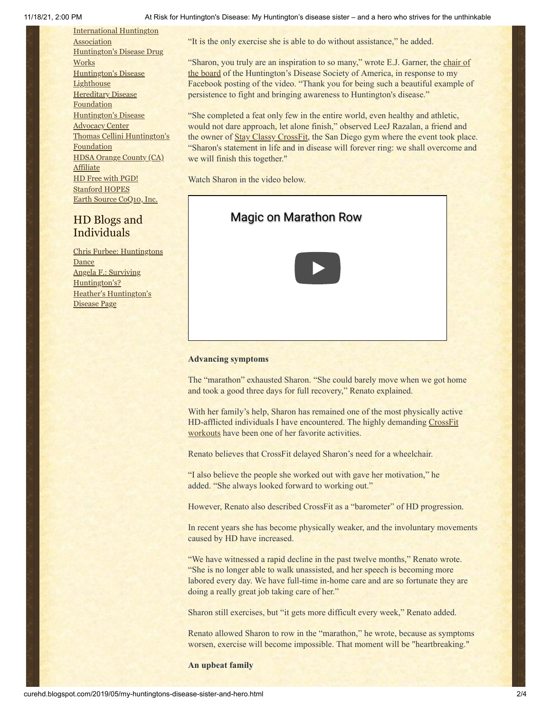[International](http://www.huntington-assoc.com/) Huntington **Association** [Huntington's](http://hddrugworks.org/) Disease Drug **Works** [Huntington's](http://www.hdlighthouse.org/) Disease **Lighthouse [Hereditary](http://www.hdfoundation.org/) Disease Foundation** [Huntington's](http://www.hdac.org/) Disease Advocacy Center Thomas [Cellini Huntington's](http://www.ourtchfoundation.org/) Foundation HDSA Orange County (CA) **[Affiliate](http://www.hdsaoc.org/)** HD Free with [PGD!](http://www.hdfreewithpgd.com/) [Stanford](http://www.stanford.edu/group/hopes/) HOPES Earth Source [CoQ10,](http://www.escoq10.com/) Inc.

## HD Blogs and Individuals

Chris Furbee: [Huntingtons](http://www.huntingtonsdance.org/) Dance Angela F.: Surviving [Huntington's?](http://survivinghuntingtons.blogspot.com/) Heather's [Huntington's](http://heatherdugdale.angelfire.com/) Disease Page

"It is the only exercise she is able to do without assistance," he added.

["Sharon, you truly are an inspiration to so many," wrote E.J. Garner, the chair of](https://hdsa.org/about-hdsa/board-of-trustees/) the board of the Huntington's Disease Society of America, in response to my Facebook posting of the video. "Thank you for being such a beautiful example of persistence to fight and bringing awareness to Huntington's disease."

"She completed a feat only few in the entire world, even healthy and athletic, would not dare approach, let alone finish," observed LeeJ Razalan, a friend and the owner of [Stay Classy CrossFit,](http://www.stayclassycrossfit.com/) the San Diego gym where the event took place. "Sharon's statement in life and in disease will forever ring: we shall overcome and we will finish this together."

Watch Sharon in the video below.

# [Magic on Marathon Row](https://www.youtube.com/watch?v=t8RGA-9mkyM)



#### **Advancing symptoms**

The "marathon" exhausted Sharon. "She could barely move when we got home and took a good three days for full recovery," Renato explained.

With her family's help, Sharon has remained one of the most physically active [HD-afflicted individuals I have encountered. The highly demanding CrossFit](https://vimeo.com/113893078) workouts have been one of her favorite activities.

Renato believes that CrossFit delayed Sharon's need for a wheelchair.

"I also believe the people she worked out with gave her motivation," he added. "She always looked forward to working out."

However, Renato also described CrossFit as a "barometer" of HD progression.

In recent years she has become physically weaker, and the involuntary movements caused by HD have increased.

"We have witnessed a rapid decline in the past twelve months," Renato wrote. "She is no longer able to walk unassisted, and her speech is becoming more labored every day. We have full-time in-home care and are so fortunate they are doing a really great job taking care of her."

Sharon still exercises, but "it gets more difficult every week," Renato added.

Renato allowed Sharon to row in the "marathon," he wrote, because as symptoms worsen, exercise will become impossible. That moment will be "heartbreaking."

**An upbeat family**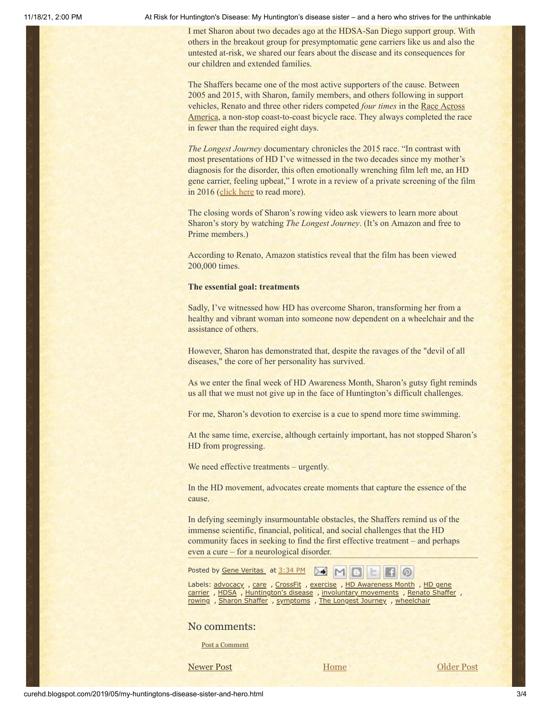11/18/21, 2:00 PM At Risk for Huntington's Disease: My Huntington's disease sister – and a hero who strives for the unthinkable

I met Sharon about two decades ago at the HDSA-San Diego support group. With others in the breakout group for presymptomatic gene carriers like us and also the untested at-risk, we shared our fears about the disease and its consequences for our children and extended families.

The Shaffers became one of the most active supporters of the cause. Between 2005 and 2015, with Sharon, family members, and others following in support vehicles, Renato and three other riders competed *four times* in the Race Across [America, a non-stop coast-to-coast bicycle race. They always completed the rac](http://www.raceacrossamerica.org/)e in fewer than the required eight days.

*The Longest Journey* documentary chronicles the 2015 race. "In contrast with most presentations of HD I've witnessed in the two decades since my mother's diagnosis for the disorder, this often emotionally wrenching film left me, an HD gene carrier, feeling upbeat," I wrote in a review of a private screening of the film in 2016 [\(click here](http://curehd.blogspot.com/2016/05/upbeat-huntingtons-disease-film.html) to read more).

The closing words of Sharon's rowing video ask viewers to learn more about Sharon's story by watching *The Longest Journey*. (It's on Amazon and free to Prime members.)

According to Renato, Amazon statistics reveal that the film has been viewed 200,000 times.

#### **The essential goal: treatments**

Sadly, I've witnessed how HD has overcome Sharon, transforming her from a healthy and vibrant woman into someone now dependent on a wheelchair and the assistance of others.

However, Sharon has demonstrated that, despite the ravages of the "devil of all diseases," the core of her personality has survived.

As we enter the final week of HD Awareness Month, Sharon's gutsy fight reminds us all that we must not give up in the face of Huntington's difficult challenges.

For me, Sharon's devotion to exercise is a cue to spend more time swimming.

At the same time, exercise, although certainly important, has not stopped Sharon's HD from progressing.

We need effective treatments – urgently.

In the HD movement, advocates create moments that capture the essence of the cause.

In defying seemingly insurmountable obstacles, the Shaffers remind us of the immense scientific, financial, political, and social challenges that the HD community faces in seeking to find the first effective treatment – and perhaps even a cure – for a neurological disorder.

| Posted by <u>Gene Veritas</u> at 3:34 PM <b>M M M B F</b> |  |  |  |  |  |
|-----------------------------------------------------------|--|--|--|--|--|
|-----------------------------------------------------------|--|--|--|--|--|

Labels: <u>[advocacy](http://curehd.blogspot.com/search/label/advocacy)</u>, [care](http://curehd.blogspot.com/search/label/care), [CrossFit](http://curehd.blogspot.com/search/label/CrossFit), [exercise](http://curehd.blogspot.com/search/label/exercise), HD [Awareness](http://curehd.blogspot.com/search/label/HD%20Awareness%20Month) Month, HD gene carrier , [HDSA](http://curehd.blogspot.com/search/label/HDSA) , [Huntington's](http://curehd.blogspot.com/search/label/HD%20gene%20carrier) disease , involuntary [movements](http://curehd.blogspot.com/search/label/involuntary%20movements) , Renato [Shaffer](http://curehd.blogspot.com/search/label/Renato%20Shaffer) , [rowing](http://curehd.blogspot.com/search/label/rowing) , Sharon [Shaffer](http://curehd.blogspot.com/search/label/Sharon%20Shaffer) , [symptoms](http://curehd.blogspot.com/search/label/symptoms) , The Longest [Journey](http://curehd.blogspot.com/search/label/The%20Longest%20Journey) , [wheelchair](http://curehd.blogspot.com/search/label/wheelchair)

#### No comments:

Post a [Comment](https://draft.blogger.com/comment.g?blogID=10081281&postID=5937715331705557636&isPopup=true)

[Newer Post](http://curehd.blogspot.com/2019/06/are-pre-existing-conditions-returning.html) Newer Post Newer Post